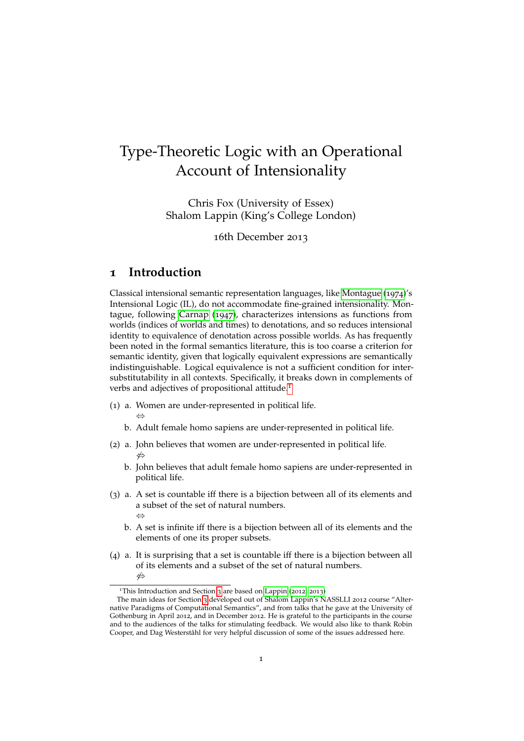# Type-Theoretic Logic with an Operational Account of Intensionality

Chris Fox (University of Essex) Shalom Lappin (King's College London)

16th December 2013

### **1 Introduction**

⇔

Classical intensional semantic representation languages, like [Montague](#page-20-0) ([1974](#page-20-0))'s Intensional Logic (IL), do not accommodate fine-grained intensionality. Montague, following [Carnap](#page-19-0) ([1947](#page-19-0)), characterizes intensions as functions from worlds (indices of worlds and times) to denotations, and so reduces intensional identity to equivalence of denotation across possible worlds. As has frequently been noted in the formal semantics literature, this is too coarse a criterion for semantic identity, given that logically equivalent expressions are semantically indistinguishable. Logical equivalence is not a sufficient condition for intersubstitutability in all contexts. Specifically, it breaks down in complements of verbs and adjectives of propositional attitude.<sup>[1](#page-0-0)</sup>

- <span id="page-0-4"></span><span id="page-0-3"></span><span id="page-0-2"></span>(1) a. Women are under-represented in political life.
	- b. Adult female homo sapiens are under-represented in political life.
- <span id="page-0-6"></span><span id="page-0-5"></span><span id="page-0-1"></span>(2) a. John believes that women are under-represented in political life. 6⇔
	- b. John believes that adult female homo sapiens are under-represented in political life.
- (3) a. A set is countable iff there is a bijection between all of its elements and a subset of the set of natural numbers. ⇔
	- b. A set is infinite iff there is a bijection between all of its elements and the elements of one its proper subsets.
- (4) a. It is surprising that a set is countable iff there is a bijection between all of its elements and a subset of the set of natural numbers. 6⇔

<span id="page-0-0"></span><sup>&</sup>lt;sup>1</sup>This Introduction and Section [3](#page-13-0) are based on [Lappin](#page-20-1) ([2012](#page-20-1); [2013](#page-20-2))

The main ideas for Section [3](#page-13-0) developed out of Shalom Lappin's NASSLLI 2012 course "Alternative Paradigms of Computational Semantics", and from talks that he gave at the University of Gothenburg in April 2012, and in December 2012. He is grateful to the participants in the course and to the audiences of the talks for stimulating feedback. We would also like to thank Robin Cooper, and Dag Westerståhl for very helpful discussion of some of the issues addressed here.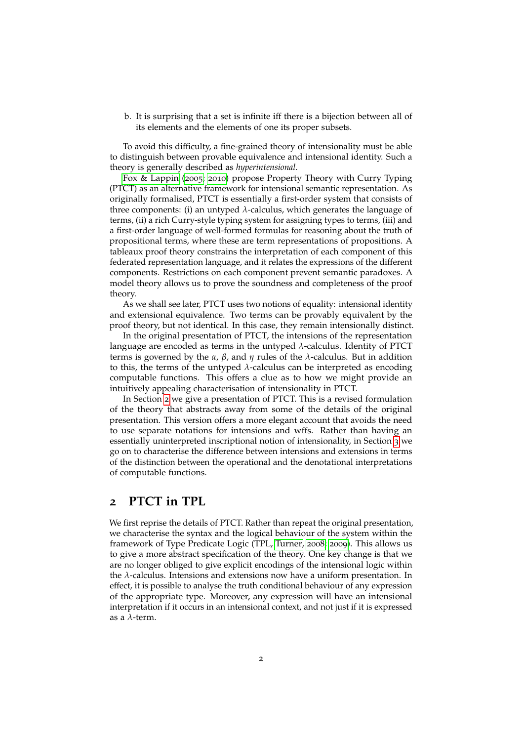b. It is surprising that a set is infinite iff there is a bijection between all of its elements and the elements of one its proper subsets.

To avoid this difficulty, a fine-grained theory of intensionality must be able to distinguish between provable equivalence and intensional identity. Such a theory is generally described as *hyperintensional*.

[Fox & Lappin](#page-19-1) ([2005](#page-19-1); [2010](#page-19-2)) propose Property Theory with Curry Typing (PTCT) as an alternative framework for intensional semantic representation. As originally formalised, PTCT is essentially a first-order system that consists of three components: (i) an untyped  $\lambda$ -calculus, which generates the language of terms, (ii) a rich Curry-style typing system for assigning types to terms, (iii) and a first-order language of well-formed formulas for reasoning about the truth of propositional terms, where these are term representations of propositions. A tableaux proof theory constrains the interpretation of each component of this federated representation language, and it relates the expressions of the different components. Restrictions on each component prevent semantic paradoxes. A model theory allows us to prove the soundness and completeness of the proof theory.

As we shall see later, PTCT uses two notions of equality: intensional identity and extensional equivalence. Two terms can be provably equivalent by the proof theory, but not identical. In this case, they remain intensionally distinct.

In the original presentation of PTCT, the intensions of the representation language are encoded as terms in the untyped *λ*-calculus. Identity of PTCT terms is governed by the *α*, *β*, and *η* rules of the *λ*-calculus. But in addition to this, the terms of the untyped *λ*-calculus can be interpreted as encoding computable functions. This offers a clue as to how we might provide an intuitively appealing characterisation of intensionality in PTCT.

In Section [2](#page-1-0) we give a presentation of PTCT. This is a revised formulation of the theory that abstracts away from some of the details of the original presentation. This version offers a more elegant account that avoids the need to use separate notations for intensions and wffs. Rather than having an essentially uninterpreted inscriptional notion of intensionality, in Section [3](#page-13-0) we go on to characterise the difference between intensions and extensions in terms of the distinction between the operational and the denotational interpretations of computable functions.

### <span id="page-1-0"></span>**2 PTCT in TPL**

We first reprise the details of PTCT. Rather than repeat the original presentation, we characterise the syntax and the logical behaviour of the system within the framework of Type Predicate Logic (TPL, [Turner,](#page-20-3) [2008](#page-20-3); [2009](#page-20-4)). This allows us to give a more abstract specification of the theory. One key change is that we are no longer obliged to give explicit encodings of the intensional logic within the *λ*-calculus. Intensions and extensions now have a uniform presentation. In effect, it is possible to analyse the truth conditional behaviour of any expression of the appropriate type. Moreover, any expression will have an intensional interpretation if it occurs in an intensional context, and not just if it is expressed as a *λ*-term.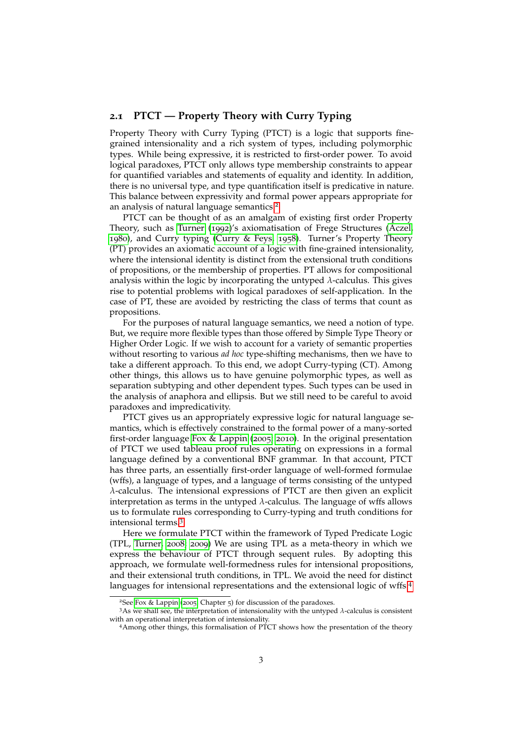#### **2.1 PTCT — Property Theory with Curry Typing**

Property Theory with Curry Typing (PTCT) is a logic that supports finegrained intensionality and a rich system of types, including polymorphic types. While being expressive, it is restricted to first-order power. To avoid logical paradoxes, PTCT only allows type membership constraints to appear for quantified variables and statements of equality and identity. In addition, there is no universal type, and type quantification itself is predicative in nature. This balance between expressivity and formal power appears appropriate for an analysis of natural language semantics.<sup>[2](#page-2-0)</sup>

PTCT can be thought of as an amalgam of existing first order Property Theory, such as [Turner](#page-20-5) ([1992](#page-20-5))'s axiomatisation of Frege Structures [\(Aczel,](#page-19-3) [1980](#page-19-3)), and Curry typing [\(Curry & Feys,](#page-19-4) [1958](#page-19-4)). Turner's Property Theory (PT) provides an axiomatic account of a logic with fine-grained intensionality, where the intensional identity is distinct from the extensional truth conditions of propositions, or the membership of properties. PT allows for compositional analysis within the logic by incorporating the untyped  $\lambda$ -calculus. This gives rise to potential problems with logical paradoxes of self-application. In the case of PT, these are avoided by restricting the class of terms that count as propositions.

For the purposes of natural language semantics, we need a notion of type. But, we require more flexible types than those offered by Simple Type Theory or Higher Order Logic. If we wish to account for a variety of semantic properties without resorting to various *ad hoc* type-shifting mechanisms, then we have to take a different approach. To this end, we adopt Curry-typing (CT). Among other things, this allows us to have genuine polymorphic types, as well as separation subtyping and other dependent types. Such types can be used in the analysis of anaphora and ellipsis. But we still need to be careful to avoid paradoxes and impredicativity.

PTCT gives us an appropriately expressive logic for natural language semantics, which is effectively constrained to the formal power of a many-sorted first-order language [Fox & Lappin](#page-19-1) ([2005](#page-19-1); [2010](#page-19-2)). In the original presentation of PTCT we used tableau proof rules operating on expressions in a formal language defined by a conventional BNF grammar. In that account, PTCT has three parts, an essentially first-order language of well-formed formulae (wffs), a language of types, and a language of terms consisting of the untyped *λ*-calculus. The intensional expressions of PTCT are then given an explicit interpretation as terms in the untyped *λ*-calculus. The language of wffs allows us to formulate rules corresponding to Curry-typing and truth conditions for intensional terms.[3](#page-2-1)

Here we formulate PTCT within the framework of Typed Predicate Logic (TPL, [Turner,](#page-20-3) [2008](#page-20-3); [2009](#page-20-4)) We are using TPL as a meta-theory in which we express the behaviour of PTCT through sequent rules. By adopting this approach, we formulate well-formedness rules for intensional propositions, and their extensional truth conditions, in TPL. We avoid the need for distinct languages for intensional representations and the extensional logic of wffs.[4](#page-2-2)

<span id="page-2-1"></span><span id="page-2-0"></span><sup>2</sup>See [Fox & Lappin](#page-19-1) ([2005](#page-19-1), Chapter 5) for discussion of the paradoxes.

<sup>3</sup>As we shall see, the interpretation of intensionality with the untyped *<sup>λ</sup>*-calculus is consistent with an operational interpretation of intensionality.

<span id="page-2-2"></span><sup>4</sup>Among other things, this formalisation of PTCT shows how the presentation of the theory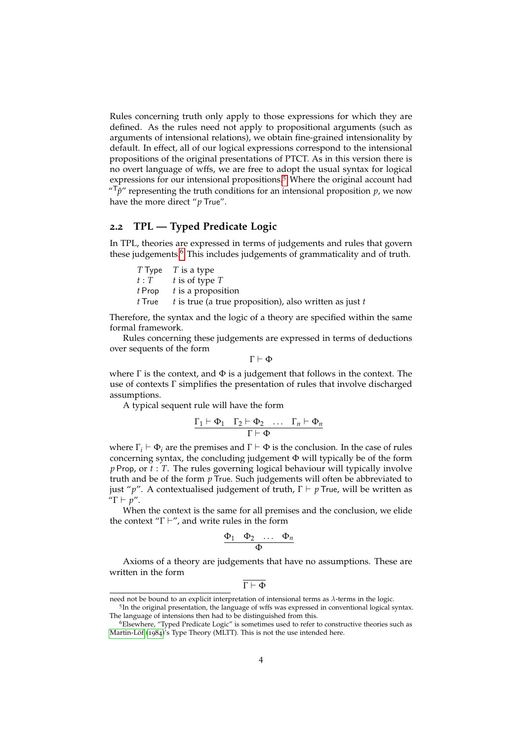Rules concerning truth only apply to those expressions for which they are defined. As the rules need not apply to propositional arguments (such as arguments of intensional relations), we obtain fine-grained intensionality by default. In effect, all of our logical expressions correspond to the intensional propositions of the original presentations of PTCT. As in this version there is no overt language of wffs, we are free to adopt the usual syntax for logical expressions for our intensional propositions.<sup>[5](#page-3-0)</sup> Where the original account had  $T^{\mu}$ <sup> $\eta$ </sup> representing the truth conditions for an intensional proposition *p*, we now have the more direct "*p* True".

### **2.2 TPL — Typed Predicate Logic**

In TPL, theories are expressed in terms of judgements and rules that govern these judgements. $6$  This includes judgements of grammaticality and of truth.

| $T$ Type $T$ is a type                                                        |
|-------------------------------------------------------------------------------|
| $t: T \t{is of type } T$                                                      |
| $t$ Prop $t$ is a proposition                                                 |
| <i>t</i> True $t$ is true (a true proposition), also written as just <i>t</i> |

Therefore, the syntax and the logic of a theory are specified within the same formal framework.

Rules concerning these judgements are expressed in terms of deductions over sequents of the form

 $\Gamma \vdash \Phi$ 

where  $\Gamma$  is the context, and  $\Phi$  is a judgement that follows in the context. The use of contexts Γ simplifies the presentation of rules that involve discharged assumptions.

A typical sequent rule will have the form

$$
\frac{\Gamma_1 \vdash \Phi_1 \quad \Gamma_2 \vdash \Phi_2 \quad \dots \quad \Gamma_n \vdash \Phi_n}{\Gamma \vdash \Phi}
$$

where  $\Gamma_i \vdash \Phi_i$  are the premises and  $\Gamma \vdash \Phi$  is the conclusion. In the case of rules concerning syntax, the concluding judgement Φ will typically be of the form *p* Prop, or *t* : *T*. The rules governing logical behaviour will typically involve truth and be of the form *p* True. Such judgements will often be abbreviated to just "*p*". A contextualised judgement of truth,  $\Gamma \vdash p$  True, will be written as  $\mu$ <sup>"</sup> $\Gamma \vdash p$ ".

When the context is the same for all premises and the conclusion, we elide the context "Γ $\vdash$ ", and write rules in the form

$$
\frac{\Phi_1 \quad \Phi_2 \quad \dots \quad \Phi_n}{\Phi}
$$

Axioms of a theory are judgements that have no assumptions. These are written in the form

$$
\Gamma \vdash \Phi
$$

need not be bound to an explicit interpretation of intensional terms as *λ*-terms in the logic.

<span id="page-3-0"></span><sup>5</sup> In the original presentation, the language of wffs was expressed in conventional logical syntax. The language of intensions then had to be distinguished from this.

<span id="page-3-1"></span><sup>6</sup>Elsewhere, "Typed Predicate Logic" is sometimes used to refer to constructive theories such as Martin-Löf  $(1984)^{'}s$  $(1984)^{'}s$  $(1984)^{'}s$  Type Theory (MLTT). This is not the use intended here.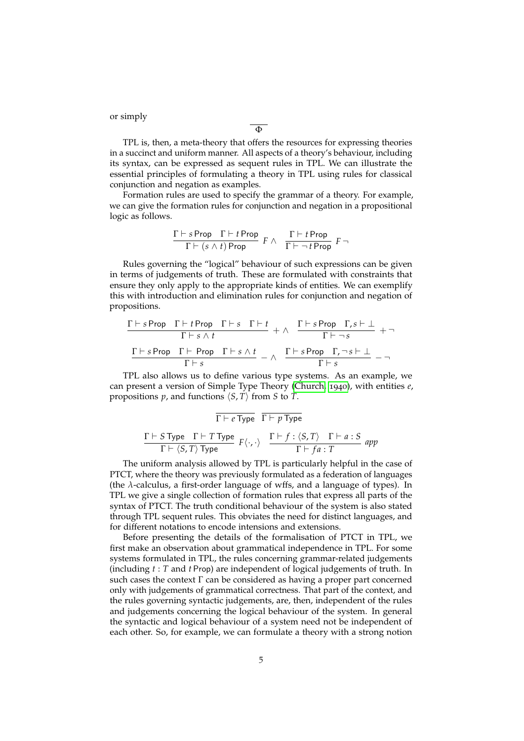or simply

TPL is, then, a meta-theory that offers the resources for expressing theories in a succinct and uniform manner. All aspects of a theory's behaviour, including its syntax, can be expressed as sequent rules in TPL. We can illustrate the essential principles of formulating a theory in TPL using rules for classical conjunction and negation as examples.

Φ

Formation rules are used to specify the grammar of a theory. For example, we can give the formation rules for conjunction and negation in a propositional logic as follows.

$$
\frac{\Gamma \vdash s \,\mathsf{Prop} \quad \Gamma \vdash t \,\mathsf{Prop}}{\Gamma \vdash (s \land t) \,\mathsf{Prop}} \ \, F \land \quad \frac{\Gamma \vdash t \,\mathsf{Prop}}{\Gamma \vdash \neg \, t \,\mathsf{Prop}} \ \, F \neg
$$

Rules governing the "logical" behaviour of such expressions can be given in terms of judgements of truth. These are formulated with constraints that ensure they only apply to the appropriate kinds of entities. We can exemplify this with introduction and elimination rules for conjunction and negation of propositions.

$$
\frac{\Gamma \vdash s \text{ Prop } \Gamma \vdash t \text{ Prop } \Gamma \vdash s \quad \Gamma \vdash t}{\Gamma \vdash s \land t} + \land \frac{\Gamma \vdash s \text{ Prop } \Gamma, s \vdash \bot}{\Gamma \vdash \neg s} + \neg
$$
\n
$$
\frac{\Gamma \vdash s \text{ Prop } \Gamma \vdash \text{Prop } \Gamma \vdash s \land t}{\Gamma \vdash s} - \land \frac{\Gamma \vdash s \text{Prop } \Gamma, \neg s \vdash \bot}{\Gamma \vdash s} - \neg
$$

TPL also allows us to define various type systems. As an example, we can present a version of Simple Type Theory [\(Church,](#page-19-5) [1940](#page-19-5)), with entities *e*, propositions  $p$ , and functions  $\langle S, T \rangle$  from *S* to *T*.

$$
\frac{\Gamma \vdash e \text{ Type}}{\Gamma \vdash \langle S, T \rangle \text{ Type}} \frac{\Gamma \vdash p \text{ Type}}{\Gamma \vdash \langle S, T \rangle \text{ Type}} \frac{\Gamma \vdash f : \langle S, T \rangle \quad \Gamma \vdash a : S}{\Gamma \vdash fa : T} \text{ app}
$$

The uniform analysis allowed by TPL is particularly helpful in the case of PTCT, where the theory was previously formulated as a federation of languages (the *λ*-calculus, a first-order language of wffs, and a language of types). In TPL we give a single collection of formation rules that express all parts of the syntax of PTCT. The truth conditional behaviour of the system is also stated through TPL sequent rules. This obviates the need for distinct languages, and for different notations to encode intensions and extensions.

Before presenting the details of the formalisation of PTCT in TPL, we first make an observation about grammatical independence in TPL. For some systems formulated in TPL, the rules concerning grammar-related judgements (including *t* : *T* and *t* Prop) are independent of logical judgements of truth. In such cases the context  $\Gamma$  can be considered as having a proper part concerned only with judgements of grammatical correctness. That part of the context, and the rules governing syntactic judgements, are, then, independent of the rules and judgements concerning the logical behaviour of the system. In general the syntactic and logical behaviour of a system need not be independent of each other. So, for example, we can formulate a theory with a strong notion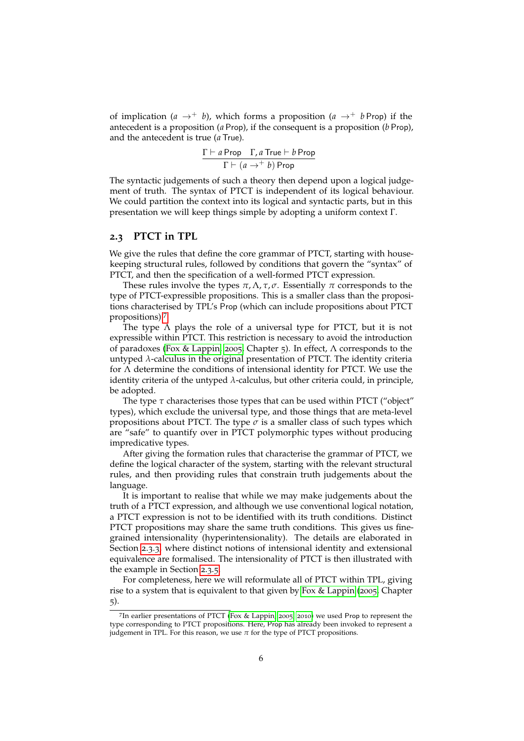of implication ( $a \rightarrow^+ b$ ), which forms a proposition ( $a \rightarrow^+ b$  Prop) if the antecedent is a proposition (*a* Prop), if the consequent is a proposition (*b* Prop), and the antecedent is true (*a* True).

$$
\frac{\Gamma \vdash a \, \mathsf{Prop} \quad \Gamma, a \, \mathsf{True} \vdash b \, \mathsf{Prop}}{\Gamma \vdash (a \rightarrow^+ b) \, \mathsf{Prop}}
$$

The syntactic judgements of such a theory then depend upon a logical judgement of truth. The syntax of PTCT is independent of its logical behaviour. We could partition the context into its logical and syntactic parts, but in this presentation we will keep things simple by adopting a uniform context Γ.

#### **2.3 PTCT in TPL**

We give the rules that define the core grammar of PTCT, starting with housekeeping structural rules, followed by conditions that govern the "syntax" of PTCT, and then the specification of a well-formed PTCT expression.

These rules involve the types  $\pi, \Lambda, \tau, \sigma$ . Essentially  $\pi$  corresponds to the type of PTCT-expressible propositions. This is a smaller class than the propositions characterised by TPL's Prop (which can include propositions about PTCT propositions).[7](#page-5-0)

The type  $\Lambda$  plays the role of a universal type for PTCT, but it is not expressible within PTCT. This restriction is necessary to avoid the introduction of paradoxes [\(Fox & Lappin,](#page-19-1) [2005](#page-19-1), Chapter 5). In effect, Λ corresponds to the untyped *λ*-calculus in the original presentation of PTCT. The identity criteria for Λ determine the conditions of intensional identity for PTCT. We use the identity criteria of the untyped *λ*-calculus, but other criteria could, in principle, be adopted.

The type  $\tau$  characterises those types that can be used within PTCT ("object" types), which exclude the universal type, and those things that are meta-level propositions about PTCT. The type  $\sigma$  is a smaller class of such types which are "safe" to quantify over in PTCT polymorphic types without producing impredicative types.

After giving the formation rules that characterise the grammar of PTCT, we define the logical character of the system, starting with the relevant structural rules, and then providing rules that constrain truth judgements about the language.

It is important to realise that while we may make judgements about the truth of a PTCT expression, and although we use conventional logical notation, a PTCT expression is not to be identified with its truth conditions. Distinct PTCT propositions may share the same truth conditions. This gives us finegrained intensionality (hyperintensionality). The details are elaborated in Section [2](#page-9-0).3.3, where distinct notions of intensional identity and extensional equivalence are formalised. The intensionality of PTCT is then illustrated with the example in Section [2](#page-11-0).3.5.

For completeness, here we will reformulate all of PTCT within TPL, giving rise to a system that is equivalent to that given by [Fox & Lappin](#page-19-1) ([2005](#page-19-1), Chapter 5).

<span id="page-5-0"></span><sup>7</sup> In earlier presentations of PTCT [\(Fox & Lappin,](#page-19-1) [2005](#page-19-1); [2010](#page-19-2)) we used Prop to represent the type corresponding to PTCT propositions. Here, Prop has already been invoked to represent a judgement in TPL. For this reason, we use  $\pi$  for the type of PTCT propositions.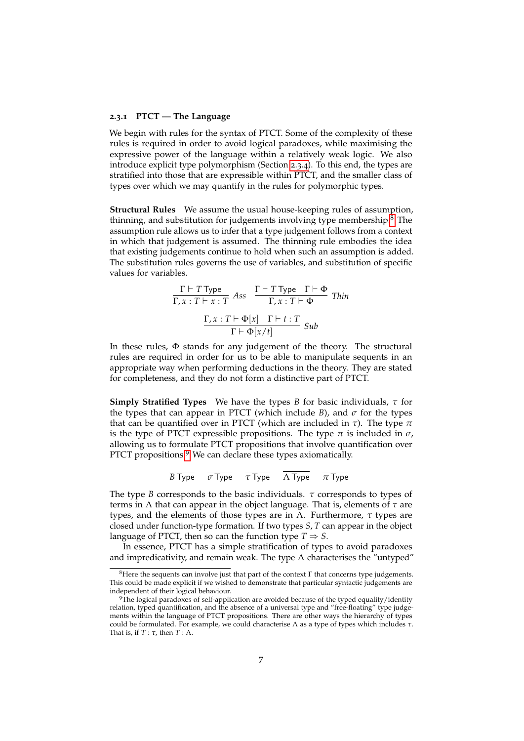#### **2.3.1 PTCT — The Language**

We begin with rules for the syntax of PTCT. Some of the complexity of these rules is required in order to avoid logical paradoxes, while maximising the expressive power of the language within a relatively weak logic. We also introduce explicit type polymorphism (Section [2](#page-10-0).3.4). To this end, the types are stratified into those that are expressible within PTCT, and the smaller class of types over which we may quantify in the rules for polymorphic types.

**Structural Rules** We assume the usual house-keeping rules of assumption, thinning, and substitution for judgements involving type membership.<sup>[8](#page-6-0)</sup> The assumption rule allows us to infer that a type judgement follows from a context in which that judgement is assumed. The thinning rule embodies the idea that existing judgements continue to hold when such an assumption is added. The substitution rules governs the use of variables, and substitution of specific values for variables.

$$
\frac{\Gamma \vdash T \text{ Type}}{\Gamma, x : T \vdash x : T} \text{ Ass } \frac{\Gamma \vdash T \text{ Type } \Gamma \vdash \Phi}{\Gamma, x : T \vdash \Phi} \text{ Thin}
$$
\n
$$
\frac{\Gamma, x : T \vdash \Phi[x] \quad \Gamma \vdash t : T}{\Gamma \vdash \Phi[x/t]} \text{ Sub}
$$

In these rules, Φ stands for any judgement of the theory. The structural rules are required in order for us to be able to manipulate sequents in an appropriate way when performing deductions in the theory. They are stated for completeness, and they do not form a distinctive part of PTCT.

**Simply Stratified Types** We have the types *B* for basic individuals, *τ* for the types that can appear in PTCT (which include *B*), and *σ* for the types that can be quantified over in PTCT (which are included in *τ*). The type *π* is the type of PTCT expressible propositions. The type  $\pi$  is included in  $\sigma$ , allowing us to formulate PTCT propositions that involve quantification over PTCT propositions.<sup>[9](#page-6-1)</sup> We can declare these types axiomatically.

$$
\overline{B \text{ Type }} \quad \overline{\sigma \text{ Type }} \quad \overline{\tau \text{ Type }} \quad \overline{\Lambda \text{ Type }} \quad \overline{\pi \text{ Type }}
$$

The type *B* corresponds to the basic individuals. *τ* corresponds to types of terms in Λ that can appear in the object language. That is, elements of *τ* are types, and the elements of those types are in Λ. Furthermore, *τ* types are closed under function-type formation. If two types *S*, *T* can appear in the object language of PTCT, then so can the function type  $T \Rightarrow S$ .

In essence, PTCT has a simple stratification of types to avoid paradoxes and impredicativity, and remain weak. The type  $\Lambda$  characterises the "untyped"

<span id="page-6-0"></span><sup>&</sup>lt;sup>8</sup>Here the sequents can involve just that part of the context  $\Gamma$  that concerns type judgements. This could be made explicit if we wished to demonstrate that particular syntactic judgements are independent of their logical behaviour.

<span id="page-6-1"></span><sup>9</sup>The logical paradoxes of self-application are avoided because of the typed equality/identity relation, typed quantification, and the absence of a universal type and "free-floating" type judgements within the language of PTCT propositions. There are other ways the hierarchy of types could be formulated. For example, we could characterise Λ as a type of types which includes *τ*. That is, if *T* : *τ*, then *T* : Λ.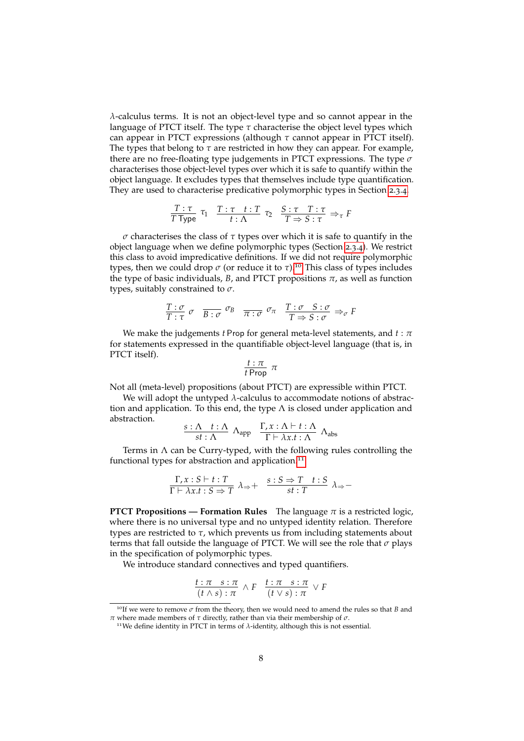*λ*-calculus terms. It is not an object-level type and so cannot appear in the language of PTCT itself. The type  $\tau$  characterise the object level types which can appear in PTCT expressions (although *τ* cannot appear in PTCT itself). The types that belong to *τ* are restricted in how they can appear. For example, there are no free-floating type judgements in PTCT expressions. The type *σ* characterises those object-level types over which it is safe to quantify within the object language. It excludes types that themselves include type quantification. They are used to characterise predicative polymorphic types in Section [2](#page-10-0).3.4.

$$
\frac{T:\tau}{T \text{ Type }} \tau_1 \quad \frac{T:\tau \quad t:T}{t:\Lambda} \quad \tau_2 \quad \frac{S:\tau \quad T:\tau}{T \Rightarrow S:\tau} \Rightarrow_{\tau} F
$$

*σ* characterises the class of *τ* types over which it is safe to quantify in the object language when we define polymorphic types (Section [2](#page-10-0).3.4). We restrict this class to avoid impredicative definitions. If we did not require polymorphic types, then we could drop  $\sigma$  (or reduce it to  $\tau$ ).<sup>[10](#page-7-0)</sup> This class of types includes the type of basic individuals,  $B$ , and PTCT propositions  $\pi$ , as well as function types, suitably constrained to *σ*.

$$
\frac{T:\sigma}{T:\tau} \quad \sigma \quad \frac{\sigma}{B:\sigma} \quad \frac{\sigma_B}{\sigma} \quad \frac{\tau:\sigma}{\tau:\sigma} \quad \frac{T:\sigma}{T \Rightarrow S:\sigma} \Rightarrow_{\sigma} F
$$

We make the judgements *t* Prop for general meta-level statements, and *t* : *π* for statements expressed in the quantifiable object-level language (that is, in PTCT itself).

$$
\frac{t:\pi}{t\,\mathsf{Prop}}\,\,\pi
$$

Not all (meta-level) propositions (about PTCT) are expressible within PTCT.

We will adopt the untyped *λ*-calculus to accommodate notions of abstraction and application. To this end, the type  $\Lambda$  is closed under application and abstraction.

$$
\frac{s:\Lambda \quad t:\Lambda}{st:\Lambda} \quad \Lambda_{app} \quad \frac{\Gamma, x:\Lambda \vdash t:\Lambda}{\Gamma \vdash \lambda x.t:\Lambda} \quad \Lambda_{\text{abs}}
$$

Terms in  $\Lambda$  can be Curry-typed, with the following rules controlling the functional types for abstraction and application.<sup>[11](#page-7-1)</sup>

$$
\frac{\Gamma, x : S \vdash t : T}{\Gamma \vdash \lambda x. t : S \Rightarrow T} \lambda_{\Rightarrow} + \frac{s : S \Rightarrow T \quad t : S}{st : T} \lambda_{\Rightarrow} -
$$

**PTCT Propositions — Formation Rules** The language  $\pi$  is a restricted logic, where there is no universal type and no untyped identity relation. Therefore types are restricted to *τ*, which prevents us from including statements about terms that fall outside the language of PTCT. We will see the role that *σ* plays in the specification of polymorphic types.

We introduce standard connectives and typed quantifiers.

$$
\frac{t:\pi \ s:\pi}{(t \wedge s):\pi} \wedge F \quad \frac{t:\pi \ s:\pi}{(t \vee s):\pi} \vee F
$$

<span id="page-7-0"></span><sup>10</sup>If we were to remove *<sup>σ</sup>* from the theory, then we would need to amend the rules so that *<sup>B</sup>* and

<span id="page-7-1"></span>*π* where made members of *τ* directly, rather than via their membership of *σ*. <sup>11</sup>We define identity in PTCT in terms of *<sup>λ</sup>*-identity, although this is not essential.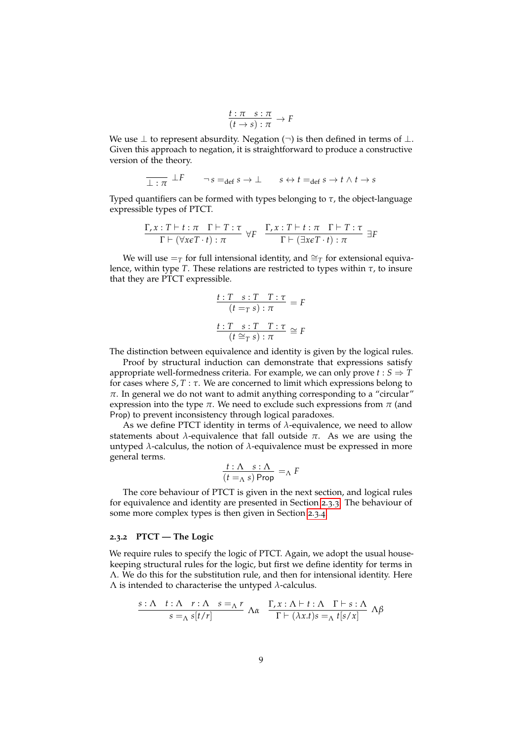$$
\frac{t:\pi \quad s:\pi}{(t \to s):\pi} \to F
$$

We use  $\perp$  to represent absurdity. Negation (¬) is then defined in terms of  $\perp$ . Given this approach to negation, it is straightforward to produce a constructive version of the theory.

$$
\overline{\perp : \pi} \perp F \qquad \neg s =_{\text{def}} s \to \perp \qquad s \leftrightarrow t =_{\text{def}} s \to t \land t \to s
$$

Typed quantifiers can be formed with types belonging to *τ*, the object-language expressible types of PTCT.

$$
\frac{\Gamma, x: T \vdash t: \pi \quad \Gamma \vdash T: \tau}{\Gamma \vdash (\forall x \in T \cdot t): \pi} \ \forall F \quad \frac{\Gamma, x: T \vdash t: \pi \quad \Gamma \vdash T: \tau}{\Gamma \vdash (\exists x \in T \cdot t): \pi} \ \exists F
$$

We will use  $=_T$  for full intensional identity, and  $\cong_T$  for extensional equivalence, within type *T*. These relations are restricted to types within *τ*, to insure that they are PTCT expressible.

$$
\frac{t:T \ s:T \ T:\tau}{(t =_T s):\pi} = F
$$

$$
\frac{t:T \ s:T \ T:\tau}{(t \cong_T s):\pi} \cong F
$$

The distinction between equivalence and identity is given by the logical rules.

Proof by structural induction can demonstrate that expressions satisfy appropriate well-formedness criteria. For example, we can only prove  $t : S \Rightarrow T$ for cases where  $S, T : \tau$ . We are concerned to limit which expressions belong to  $\pi$ . In general we do not want to admit anything corresponding to a "circular" expression into the type  $\pi$ . We need to exclude such expressions from  $\pi$  (and Prop) to prevent inconsistency through logical paradoxes.

As we define PTCT identity in terms of *λ*-equivalence, we need to allow statements about  $\lambda$ -equivalence that fall outside  $\pi$ . As we are using the untyped *λ*-calculus, the notion of *λ*-equivalence must be expressed in more general terms.

$$
\frac{t:\Lambda \quad s:\Lambda}{(t=_\Lambda s) \text{ Prop}} =_\Lambda F
$$

The core behaviour of PTCT is given in the next section, and logical rules for equivalence and identity are presented in Section [2](#page-9-0).3.3. The behaviour of some more complex types is then given in Section [2](#page-10-1).3.4.

#### **2.3.2 PTCT — The Logic**

We require rules to specify the logic of PTCT. Again, we adopt the usual housekeeping structural rules for the logic, but first we define identity for terms in Λ. We do this for the substitution rule, and then for intensional identity. Here Λ is intended to characterise the untyped *λ*-calculus.

$$
\frac{s:\Lambda \quad t:\Lambda \quad r:\Lambda \quad s=_{\Lambda} r}{s=\Lambda \quad s[t/r]} \quad \Lambda \alpha \quad \frac{\Gamma, x:\Lambda \vdash t:\Lambda \quad \Gamma \vdash s:\Lambda}{\Gamma \vdash (\lambda x.t)s=_{\Lambda} t[s/x]} \quad \Lambda \beta
$$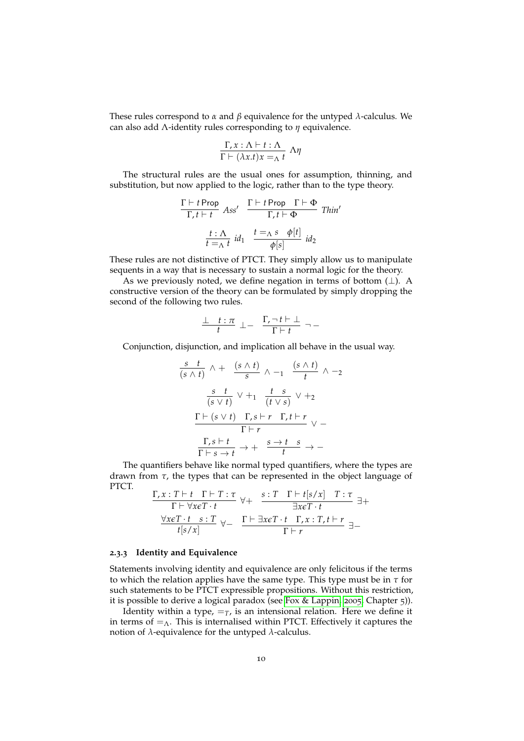These rules correspond to *α* and *β* equivalence for the untyped *λ*-calculus. We can also add Λ-identity rules corresponding to *η* equivalence.

$$
\frac{\Gamma, x : \Lambda \vdash t : \Lambda}{\Gamma \vdash (\lambda x.t)x =_{\Lambda} t} \; \Lambda \eta
$$

The structural rules are the usual ones for assumption, thinning, and substitution, but now applied to the logic, rather than to the type theory.

$$
\frac{\Gamma \vdash t \text{ Prop} \quad Ass'}{\Gamma, t \vdash t} \quad Ass' \quad \frac{\Gamma \vdash t \text{ Prop} \quad \Gamma \vdash \Phi}{\Gamma, t \vdash \Phi} \quad \text{Thin'}
$$
\n
$$
\frac{t : \Lambda}{t = \Lambda \ t} \ id_1 \quad \frac{t = \Lambda \ s \quad \phi[t]}{\phi[s]} \ id_2
$$

These rules are not distinctive of PTCT. They simply allow us to manipulate sequents in a way that is necessary to sustain a normal logic for the theory.

As we previously noted, we define negation in terms of bottom  $(\perp)$ . A constructive version of the theory can be formulated by simply dropping the second of the following two rules.

$$
\frac{\bot \quad t : \pi}{t} \ \bot - \ \frac{\Gamma, \neg t \vdash \bot}{\Gamma \vdash t} \ \neg \, -
$$

Conjunction, disjunction, and implication all behave in the usual way.

$$
\frac{s}{(s \land t)} \land + \frac{(s \land t)}{s} \land -1 \frac{(s \land t)}{t} \land -2
$$
\n
$$
\frac{s}{(s \lor t)} \lor +1 \frac{t}{(t \lor s)} \lor +2
$$
\n
$$
\frac{\Gamma \vdash (s \lor t) \quad \Gamma, s \vdash r \quad \Gamma, t \vdash r}{\Gamma \vdash r} \lor -
$$
\n
$$
\frac{\Gamma, s \vdash t}{\Gamma \vdash s \to t} \to + \frac{s \to t \quad s}{t} \to -
$$

The quantifiers behave like normal typed quantifiers, where the types are drawn from *τ*, the types that can be represented in the object language of PTCT. *s* : *T* Γ ` *t*[*s*/*x*] *T* : *τ*

$$
\frac{\Gamma, x: T \vdash t \quad \Gamma \vdash T: \tau}{\Gamma \vdash \forall x \in T \cdot t} \quad \forall + \quad \frac{s: T \quad \Gamma \vdash t[s/x] \quad T: \tau}{\exists x \in T \cdot t} \exists + \frac{\forall x \in T \cdot t \quad s: T}{t[s/x]} \quad \forall - \quad \frac{\Gamma \vdash \exists x \in T \cdot t \quad \Gamma, x: T, t \vdash r}{\Gamma \vdash r} \exists -
$$

#### <span id="page-9-0"></span>**2.3.3 Identity and Equivalence**

Statements involving identity and equivalence are only felicitous if the terms to which the relation applies have the same type. This type must be in *τ* for such statements to be PTCT expressible propositions. Without this restriction, it is possible to derive a logical paradox (see [Fox & Lappin,](#page-19-1) [2005](#page-19-1), Chapter 5)).

Identity within a type,  $=\tau$ , is an intensional relation. Here we define it in terms of  $=_\Lambda$ . This is internalised within PTCT. Effectively it captures the notion of *λ*-equivalence for the untyped *λ*-calculus.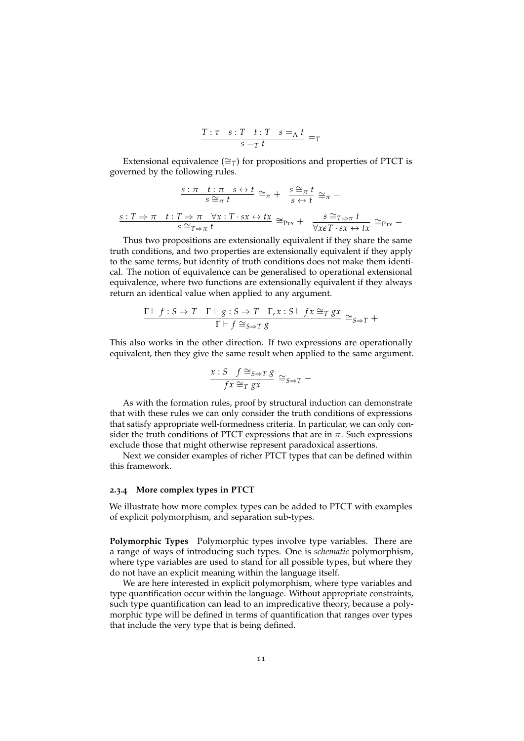$$
\frac{T:\tau \quad s:T \quad t:T \quad s=_\Lambda t}{s=_T t} =_T
$$

Extensional equivalence ( $\cong$ *T*) for propositions and properties of PTCT is governed by the following rules.

$$
\frac{s:\pi \quad t:\pi \quad s \leftrightarrow t}{s \cong_{\pi} t} \cong_{\pi} + \frac{s \cong_{\pi} t}{s \leftrightarrow t} \cong_{\pi} -
$$

$$
\frac{s:T \Rightarrow \pi \quad t:T \Rightarrow \pi \quad \forall x:T \cdot sx \leftrightarrow tx}{s \cong_{T \Rightarrow \pi} t} \cong_{\text{Prx}} + \frac{s \cong_{T \Rightarrow \pi} t}{\forall x \in T \cdot sx \leftrightarrow tx} \cong_{\text{Prx}} -
$$

Thus two propositions are extensionally equivalent if they share the same truth conditions, and two properties are extensionally equivalent if they apply to the same terms, but identity of truth conditions does not make them identical. The notion of equivalence can be generalised to operational extensional equivalence, where two functions are extensionally equivalent if they always return an identical value when applied to any argument.

$$
\frac{\Gamma \vdash f : S \Rightarrow T \quad \Gamma \vdash g : S \Rightarrow T \quad \Gamma, x : S \vdash fx \cong_T gx}{\Gamma \vdash f \cong_{S \Rightarrow T} g} \cong_{S \Rightarrow T} +
$$

This also works in the other direction. If two expressions are operationally equivalent, then they give the same result when applied to the same argument.

$$
\frac{x: S \quad f \cong_{S \Rightarrow T} g}{fx \cong_T gx} \cong_{S \Rightarrow T} -
$$

As with the formation rules, proof by structural induction can demonstrate that with these rules we can only consider the truth conditions of expressions that satisfy appropriate well-formedness criteria. In particular, we can only consider the truth conditions of PTCT expressions that are in  $\pi$ . Such expressions exclude those that might otherwise represent paradoxical assertions.

Next we consider examples of richer PTCT types that can be defined within this framework.

#### <span id="page-10-1"></span>**2.3.4 More complex types in PTCT**

We illustrate how more complex types can be added to PTCT with examples of explicit polymorphism, and separation sub-types.

<span id="page-10-0"></span>**Polymorphic Types** Polymorphic types involve type variables. There are a range of ways of introducing such types. One is *schematic* polymorphism, where type variables are used to stand for all possible types, but where they do not have an explicit meaning within the language itself.

We are here interested in explicit polymorphism, where type variables and type quantification occur within the language. Without appropriate constraints, such type quantification can lead to an impredicative theory, because a polymorphic type will be defined in terms of quantification that ranges over types that include the very type that is being defined.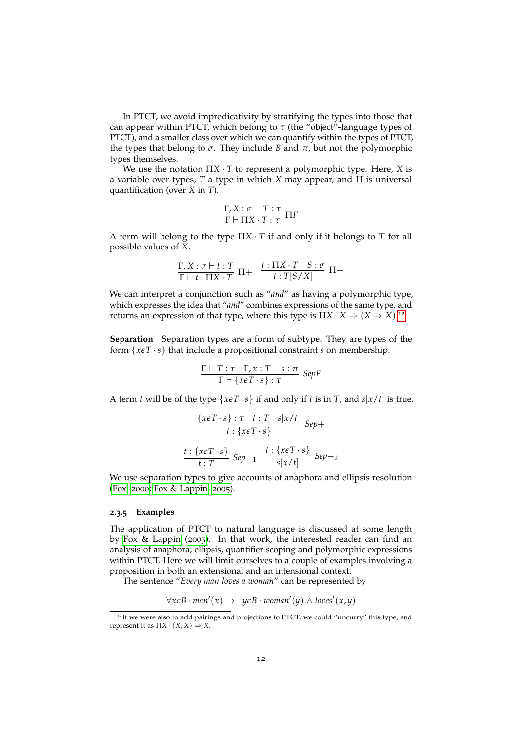In PTCT, we avoid impredicativity by stratifying the types into those that can appear within PTCT, which belong to *τ* (the "object"-language types of PTCT), and a smaller class over which we can quantify within the types of PTCT, the types that belong to  $\sigma$ . They include *B* and  $\pi$ , but not the polymorphic types themselves.

We use the notation Π*X* · *T* to represent a polymorphic type. Here, *X* is a variable over types, *T* a type in which *X* may appear, and Π is universal quantification (over *X* in *T*).

$$
\frac{\Gamma, X : \sigma \vdash T : \tau}{\Gamma \vdash \Pi X \cdot T : \tau} \ \Pi F
$$

A term will belong to the type Π*X* · *T* if and only if it belongs to *T* for all possible values of *X*.

$$
\frac{\Gamma, X:\sigma \vdash t:T}{\Gamma \vdash t:\Pi X\cdot T} \ \Pi + \ \frac{t:\Pi X\cdot T \ \ S:\sigma}{t:T[S/X]} \ \Pi -
$$

We can interpret a conjunction such as "*and*" as having a polymorphic type, which expresses the idea that "*and*" combines expressions of the same type, and returns an expression of that type, where this type is  $\Pi X \cdot X \Rightarrow (X \Rightarrow X)^{1/2}$ .

**Separation** Separation types are a form of subtype. They are types of the form  $\{x \in T \cdot s\}$  that include a propositional constraint *s* on membership.

$$
\frac{\Gamma \vdash T : \tau \quad \Gamma, x : T \vdash s : \pi}{\Gamma \vdash \{x \in T \cdot s\} : \tau} \; SepF
$$

A term *t* will be of the type  $\{x \in T \cdot s\}$  if and only if *t* is in *T*, and  $s[x/t]$  is true.

$$
\frac{\{x \in T \cdot s\} : \tau \quad t : T \quad s[x/t]}{t : \{x \in T \cdot s\}} \text{Sep} +
$$
\n
$$
\frac{t : \{x \in T \cdot s\}}{t : T} \text{Sep} -_1 \quad \frac{t : \{x \in T \cdot s\}}{s[x/t]} \text{Sep} -_2
$$

We use separation types to give accounts of anaphora and ellipsis resolution [\(Fox,](#page-19-6) [2000](#page-19-6); [Fox & Lappin,](#page-19-1) [2005](#page-19-1)).

#### <span id="page-11-0"></span>**2.3.5 Examples**

The application of PTCT to natural language is discussed at some length by [Fox & Lappin](#page-19-1) ([2005](#page-19-1)). In that work, the interested reader can find an analysis of anaphora, ellipsis, quantifier scoping and polymorphic expressions within PTCT. Here we will limit ourselves to a couple of examples involving a proposition in both an extensional and an intensional context.

The sentence "*Every man loves a woman*" can be represented by

 $\forall x \in B \cdot man'(x)$  →  $\exists y \in B \cdot woman'(y)$  ∧ *loves*<sup> $\prime$ </sup>(*x*, *y*)

<span id="page-11-1"></span><sup>&</sup>lt;sup>12</sup>If we were also to add pairings and projections to PTCT, we could "uncurry" this type, and represent it as  $\Pi X \cdot (X, X) \Rightarrow X$ .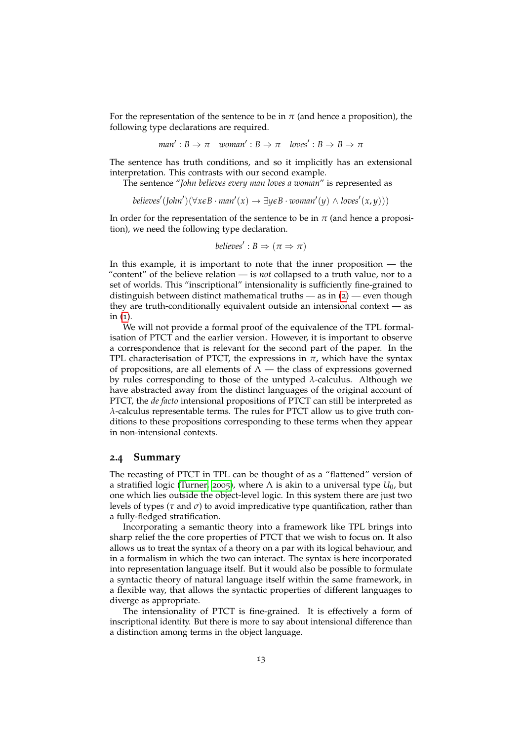For the representation of the sentence to be in  $\pi$  (and hence a proposition), the following type declarations are required.

$$
man': B \Rightarrow \pi \quad woman': B \Rightarrow \pi \quad loves': B \Rightarrow B \Rightarrow \pi
$$

The sentence has truth conditions, and so it implicitly has an extensional interpretation. This contrasts with our second example.

The sentence "*John believes every man loves a woman*" is represented as

 $\phi$ *believes'* (*John'*)( $\forall$ *x* $\epsilon$ *B* · *man'*( $x$ )  $\rightarrow \exists$ *y* $\epsilon$ *B* · *woman'* ( $y$ )  $\land$  *loves'* (*x*,  $y$ )))

In order for the representation of the sentence to be in  $\pi$  (and hence a proposition), we need the following type declaration.

$$
believes': B \Rightarrow (\pi \Rightarrow \pi)
$$

In this example, it is important to note that the inner proposition  $-$  the "content" of the believe relation — is *not* collapsed to a truth value, nor to a set of worlds. This "inscriptional" intensionality is sufficiently fine-grained to distinguish between distinct mathematical truths  $-$  as in  $(2)$  $(2)$  $(2)$   $-$  even though they are truth-conditionally equivalent outside an intensional context — as in  $(i)$ .

We will not provide a formal proof of the equivalence of the TPL formalisation of PTCT and the earlier version. However, it is important to observe a correspondence that is relevant for the second part of the paper. In the TPL characterisation of PTCT, the expressions in  $\pi$ , which have the syntax of propositions, are all elements of  $\Lambda$  — the class of expressions governed by rules corresponding to those of the untyped *λ*-calculus. Although we have abstracted away from the distinct languages of the original account of PTCT, the *de facto* intensional propositions of PTCT can still be interpreted as *λ*-calculus representable terms. The rules for PTCT allow us to give truth conditions to these propositions corresponding to these terms when they appear in non-intensional contexts.

#### **2.4 Summary**

The recasting of PTCT in TPL can be thought of as a "flattened" version of a stratified logic [\(Turner,](#page-20-7) [2005](#page-20-7)), where  $\Lambda$  is akin to a universal type  $U_0$ , but one which lies outside the object-level logic. In this system there are just two levels of types ( $\tau$  and  $\sigma$ ) to avoid impredicative type quantification, rather than a fully-fledged stratification.

Incorporating a semantic theory into a framework like TPL brings into sharp relief the the core properties of PTCT that we wish to focus on. It also allows us to treat the syntax of a theory on a par with its logical behaviour, and in a formalism in which the two can interact. The syntax is here incorporated into representation language itself. But it would also be possible to formulate a syntactic theory of natural language itself within the same framework, in a flexible way, that allows the syntactic properties of different languages to diverge as appropriate.

The intensionality of PTCT is fine-grained. It is effectively a form of inscriptional identity. But there is more to say about intensional difference than a distinction among terms in the object language.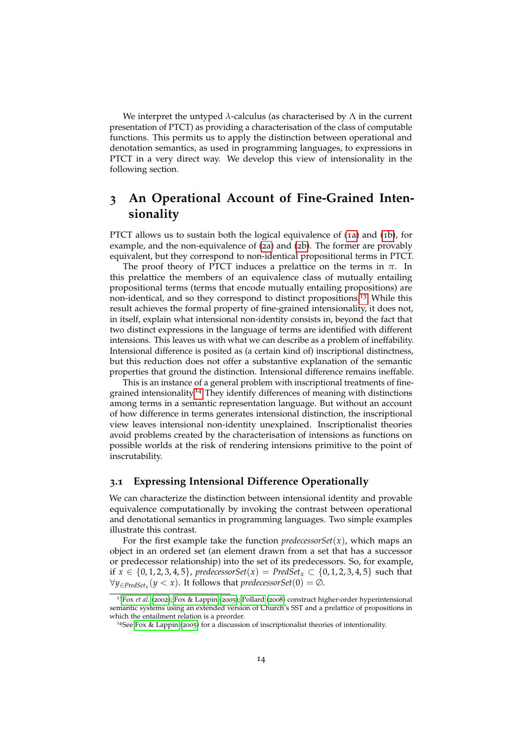We interpret the untyped *λ*-calculus (as characterised by Λ in the current presentation of PTCT) as providing a characterisation of the class of computable functions. This permits us to apply the distinction between operational and denotation semantics, as used in programming languages, to expressions in PTCT in a very direct way. We develop this view of intensionality in the following section.

## <span id="page-13-0"></span>**3 An Operational Account of Fine-Grained Intensionality**

PTCT allows us to sustain both the logical equivalence of (1[a\)](#page-0-3) and (1[b\)](#page-0-4), for example, and the non-equivalence of (2[a\)](#page-0-5) and (2[b\)](#page-0-6). The former are provably equivalent, but they correspond to non-identical propositional terms in PTCT.

The proof theory of PTCT induces a prelattice on the terms in  $\pi$ . In this prelattice the members of an equivalence class of mutually entailing propositional terms (terms that encode mutually entailing propositions) are non-identical, and so they correspond to distinct propositions.[13](#page-13-1) While this result achieves the formal property of fine-grained intensionality, it does not, in itself, explain what intensional non-identity consists in, beyond the fact that two distinct expressions in the language of terms are identified with different intensions. This leaves us with what we can describe as a problem of ineffability. Intensional difference is posited as (a certain kind of) inscriptional distinctness, but this reduction does not offer a substantive explanation of the semantic properties that ground the distinction. Intensional difference remains ineffable.

This is an instance of a general problem with inscriptional treatments of finegrained intensionality.[14](#page-13-2) They identify differences of meaning with distinctions among terms in a semantic representation language. But without an account of how difference in terms generates intensional distinction, the inscriptional view leaves intensional non-identity unexplained. Inscriptionalist theories avoid problems created by the characterisation of intensions as functions on possible worlds at the risk of rendering intensions primitive to the point of inscrutability.

#### <span id="page-13-3"></span>**3.1 Expressing Intensional Difference Operationally**

We can characterize the distinction between intensional identity and provable equivalence computationally by invoking the contrast between operational and denotational semantics in programming languages. Two simple examples illustrate this contrast.

For the first example take the function *predecessorSet*(*x*), which maps an object in an ordered set (an element drawn from a set that has a successor or predecessor relationship) into the set of its predecessors. So, for example, if *x* ∈ {0, 1, 2, 3, 4, 5}, *predecessorSet*(*x*) = *PredSet*<sub>*x*</sub> ⊂ {0, 1, 2, 3, 4, 5} such that ∀*y*∈*PredSet<sup>x</sup>* (*y* < *x*). It follows that *predecessorSet*(0) = ∅.

<span id="page-13-1"></span><sup>13</sup>Fox *[et al.](#page-19-7)* ([2002](#page-19-7)); [Fox & Lappin](#page-19-1) ([2005](#page-19-1)); [Pollard](#page-20-8) ([2008](#page-20-8)) construct higher-order hyperintensional semantic systems using an extended version of Church's SST and a prelattice of propositions in which the entailment relation is a preorder.

<span id="page-13-2"></span><sup>&</sup>lt;sup>14</sup>See [Fox & Lappin](#page-19-1) ([2005](#page-19-1)) for a discussion of inscriptionalist theories of intentionality.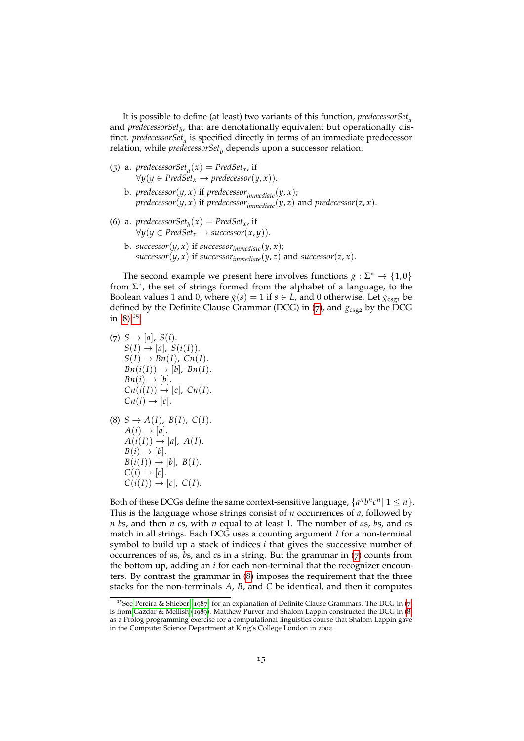It is possible to define (at least) two variants of this function, *predecessorSet<sup>a</sup>* and *predecessorSet<sup>b</sup>* , that are denotationally equivalent but operationally distinct. *predecessorSet<sup>a</sup>* is specified directly in terms of an immediate predecessor relation, while *predecessorSet<sup>b</sup>* depends upon a successor relation.

- (5) a. *predecessorSet*<sub>*a*</sub>(*x*) = *PredSet<sub>x</sub>*, if ∀*y*(*y* ∈ *PredSet<sup>x</sup>* → *predecessor*(*y*, *x*)).
	- b. *predecessor*( $y$ ,  $x$ ) if *predecessor*<sub>*immediate*( $y$ ,  $x$ );</sub> *predecessor*( $y$ ,  $x$ ) if *predecessor*<sub>*immediate*</sub>( $y$ ,  $z$ ) and *predecessor*( $z$ ,  $x$ ).
- (6) a. *predecessorSet*<sub>*b*</sub>(*x*) = *PredSet<sub>x</sub>*, if ∀*y*(*y* ∈ *PredSet<sup>x</sup>* → *successor*(*x*, *y*)).
	- b.  $successor(y, x)$  if  $successor_{immediate}(y, x)$ ; *successor*( $y$ ,  $x$ ) if *successor*<sub>*immediate*( $y$ ,  $z$ ) and *successor*( $z$ ,  $x$ ).</sub>

The second example we present here involves functions  $g : \Sigma^* \to \{1,0\}$ from  $\Sigma^*$ , the set of strings formed from the alphabet of a language, to the Boolean values 1 and 0, where  $g(s) = 1$  if  $s \in L$ , and 0 otherwise. Let  $g_{csg1}$  be defined by the Definite Clause Grammar (DCG) in ([7](#page-14-0)), and  $g_{csg2}$  by the DCG in ([8](#page-14-1)).[15](#page-14-2)

<span id="page-14-0"></span> $(7)$  *S*  $\rightarrow$  [*a*], *S*(*i*).  $S(I) \rightarrow [a], S(i(I)).$  $S(I) \rightarrow Bn(I)$ ,  $Cn(I)$ .  $Bn(i(I)) \rightarrow [b]$ ,  $Bn(I)$ .  $Bn(i) \rightarrow [b]$ .  $Cn(i(I)) \rightarrow [c]$ ,  $Cn(I)$ .  $Cn(i) \rightarrow [c]$ .

<span id="page-14-1"></span>(8) 
$$
S \rightarrow A(I), B(I), C(I)
$$
.  
\n $A(i) \rightarrow [a]$ .  
\n $A(i(I)) \rightarrow [a], A(I)$ .  
\n $B(i) \rightarrow [b]$ .  
\n $B(i(I)) \rightarrow [b], B(I)$ .  
\n $C(i) \rightarrow [c]$ .  
\n $C(i(I)) \rightarrow [c], C(I)$ .

Both of these DCGs define the same context-sensitive language,  $\{a^n b^n c^n | 1 \leq n\}$ . This is the language whose strings consist of *n* occurrences of *a*, followed by *n b*s, and then *n c*s, with *n* equal to at least 1. The number of *a*s, *b*s, and *c*s match in all strings. Each DCG uses a counting argument *I* for a non-terminal symbol to build up a stack of indices *i* that gives the successive number of occurrences of *a*s, *b*s, and *c*s in a string. But the grammar in ([7](#page-14-0)) counts from the bottom up, adding an *i* for each non-terminal that the recognizer encounters. By contrast the grammar in ([8](#page-14-1)) imposes the requirement that the three stacks for the non-terminals *A*, *B*, and *C* be identical, and then it computes

<span id="page-14-2"></span><sup>&</sup>lt;sup>15</sup>See [Pereira & Shieber](#page-20-9) ([1987](#page-20-9)) for an explanation of Definite Clause Grammars. The DCG in ([7](#page-14-0)) is from [Gazdar & Mellish](#page-20-10) ([1989](#page-20-10)). Matthew Purver and Shalom Lappin constructed the DCG in ([8](#page-14-1)) as a Prolog programming exercise for a computational linguistics course that Shalom Lappin gave in the Computer Science Department at King's College London in 2002.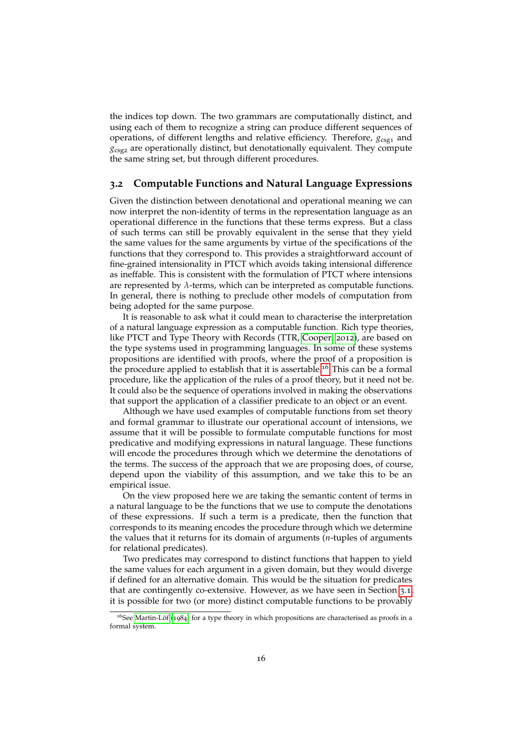the indices top down. The two grammars are computationally distinct, and using each of them to recognize a string can produce different sequences of operations, of different lengths and relative efficiency. Therefore,  $g_{csg1}$  and *g*csg<sup>2</sup> are operationally distinct, but denotationally equivalent. They compute the same string set, but through different procedures.

#### **3.2 Computable Functions and Natural Language Expressions**

Given the distinction between denotational and operational meaning we can now interpret the non-identity of terms in the representation language as an operational difference in the functions that these terms express. But a class of such terms can still be provably equivalent in the sense that they yield the same values for the same arguments by virtue of the specifications of the functions that they correspond to. This provides a straightforward account of fine-grained intensionality in PTCT which avoids taking intensional difference as ineffable. This is consistent with the formulation of PTCT where intensions are represented by  $\lambda$ -terms, which can be interpreted as computable functions. In general, there is nothing to preclude other models of computation from being adopted for the same purpose.

It is reasonable to ask what it could mean to characterise the interpretation of a natural language expression as a computable function. Rich type theories, like PTCT and Type Theory with Records (TTR, [Cooper,](#page-19-8) [2012](#page-19-8)), are based on the type systems used in programming languages. In some of these systems propositions are identified with proofs, where the proof of a proposition is the procedure applied to establish that it is assertable.<sup>[16](#page-15-0)</sup> This can be a formal procedure, like the application of the rules of a proof theory, but it need not be. It could also be the sequence of operations involved in making the observations that support the application of a classifier predicate to an object or an event.

Although we have used examples of computable functions from set theory and formal grammar to illustrate our operational account of intensions, we assume that it will be possible to formulate computable functions for most predicative and modifying expressions in natural language. These functions will encode the procedures through which we determine the denotations of the terms. The success of the approach that we are proposing does, of course, depend upon the viability of this assumption, and we take this to be an empirical issue.

On the view proposed here we are taking the semantic content of terms in a natural language to be the functions that we use to compute the denotations of these expressions. If such a term is a predicate, then the function that corresponds to its meaning encodes the procedure through which we determine the values that it returns for its domain of arguments (*n*-tuples of arguments for relational predicates).

Two predicates may correspond to distinct functions that happen to yield the same values for each argument in a given domain, but they would diverge if defined for an alternative domain. This would be the situation for predicates that are contingently co-extensive. However, as we have seen in Section [3](#page-13-3).1, it is possible for two (or more) distinct computable functions to be provably

<span id="page-15-0"></span> $16$ See Martin-Löf ([1984](#page-20-6)) for a type theory in which propositions are characterised as proofs in a formal system.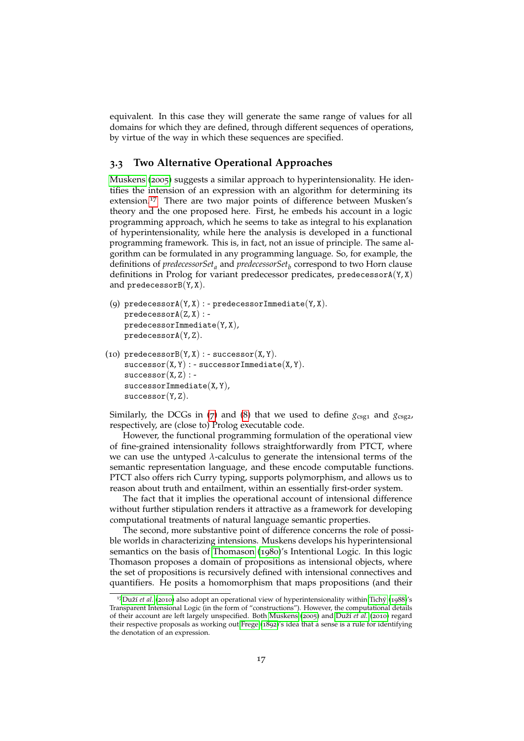equivalent. In this case they will generate the same range of values for all domains for which they are defined, through different sequences of operations, by virtue of the way in which these sequences are specified.

#### **3.3 Two Alternative Operational Approaches**

[Muskens](#page-20-11) ([2005](#page-20-11)) suggests a similar approach to hyperintensionality. He identifies the intension of an expression with an algorithm for determining its extension.<sup>[17](#page-16-0)</sup> There are two major points of difference between Musken's theory and the one proposed here. First, he embeds his account in a logic programming approach, which he seems to take as integral to his explanation of hyperintensionality, while here the analysis is developed in a functional programming framework. This is, in fact, not an issue of principle. The same algorithm can be formulated in any programming language. So, for example, the definitions of *predecessorSet<sup>a</sup>* and *predecessorSet<sup>b</sup>* correspond to two Horn clause definitions in Prolog for variant predecessor predicates, predecessor $A(Y, X)$ and predecessor $B(Y, X)$ .

```
(9) predecessorA(Y, X) : - predecessorImmediate(Y, X).
predecessorA(Z, X):
predecessorImmediate(Y, X),predecessorA(Y, Z).
```
(10) predecessor $B(Y, X)$  : - successor $(X, Y)$ .  $successor(X, Y) : - successorImage$  indexemediate  $(X, Y)$ .  $successor(X, Z)$ : successorImmediate(X, Y),  $successor(Y, Z)$ .

Similarly, the DCGs in ([7](#page-14-0)) and ([8](#page-14-1)) that we used to define  $g_{csg1}$  and  $g_{csg2}$ , respectively, are (close to) Prolog executable code.

However, the functional programming formulation of the operational view of fine-grained intensionality follows straightforwardly from PTCT, where we can use the untyped *λ*-calculus to generate the intensional terms of the semantic representation language, and these encode computable functions. PTCT also offers rich Curry typing, supports polymorphism, and allows us to reason about truth and entailment, within an essentially first-order system.

The fact that it implies the operational account of intensional difference without further stipulation renders it attractive as a framework for developing computational treatments of natural language semantic properties.

The second, more substantive point of difference concerns the role of possible worlds in characterizing intensions. Muskens develops his hyperintensional semantics on the basis of [Thomason](#page-20-12) ([1980](#page-20-12))'s Intentional Logic. In this logic Thomason proposes a domain of propositions as intensional objects, where the set of propositions is recursively defined with intensional connectives and quantifiers. He posits a homomorphism that maps propositions (and their

<span id="page-16-0"></span><sup>&</sup>lt;sup>17</sup>Duží et al. ([2010](#page-19-9)) also adopt an operational view of hyperintensionality within Tichý ([1988](#page-20-13))'s Transparent Intensional Logic (in the form of "constructions"). However, the computational details of their account are left largely unspecified. Both [Muskens](#page-20-11) ([2005](#page-20-11)) and Duží et al. ([2010](#page-19-9)) regard their respective proposals as working out [Frege](#page-20-14) ([1892](#page-20-14))'s idea that a sense is a rule for identifying the denotation of an expression.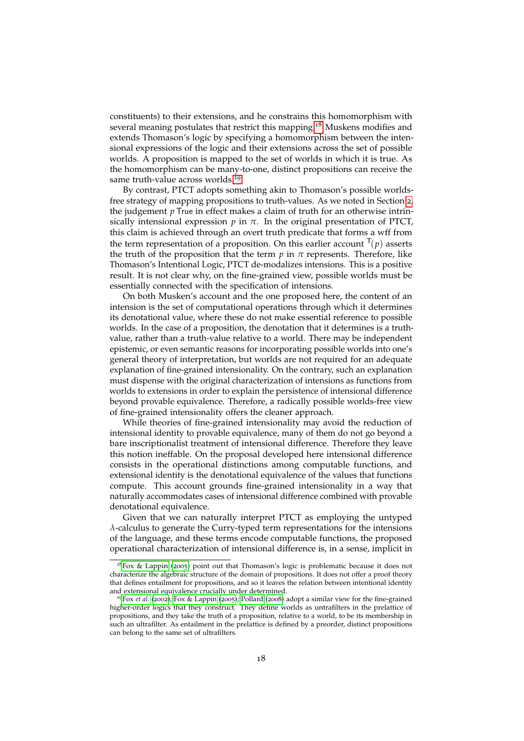constituents) to their extensions, and he constrains this homomorphism with several meaning postulates that restrict this mapping.<sup>[18](#page-17-0)</sup> Muskens modifies and extends Thomason's logic by specifying a homomorphism between the intensional expressions of the logic and their extensions across the set of possible worlds. A proposition is mapped to the set of worlds in which it is true. As the homomorphism can be many-to-one, distinct propositions can receive the same truth-value across worlds.<sup>[19](#page-17-1)</sup>

By contrast, PTCT adopts something akin to Thomason's possible worldsfree strategy of mapping propositions to truth-values. As we noted in Section [2](#page-1-0), the judgement *p* True in effect makes a claim of truth for an otherwise intrinsically intensional expression  $p$  in  $\pi$ . In the original presentation of PTCT, this claim is achieved through an overt truth predicate that forms a wff from the term representation of a proposition. On this earlier account  $\Gamma(p)$  asserts the truth of the proposition that the term  $p$  in  $\pi$  represents. Therefore, like Thomason's Intentional Logic, PTCT de-modalizes intensions. This is a positive result. It is not clear why, on the fine-grained view, possible worlds must be essentially connected with the specification of intensions.

On both Musken's account and the one proposed here, the content of an intension is the set of computational operations through which it determines its denotational value, where these do not make essential reference to possible worlds. In the case of a proposition, the denotation that it determines is a truthvalue, rather than a truth-value relative to a world. There may be independent epistemic, or even semantic reasons for incorporating possible worlds into one's general theory of interpretation, but worlds are not required for an adequate explanation of fine-grained intensionality. On the contrary, such an explanation must dispense with the original characterization of intensions as functions from worlds to extensions in order to explain the persistence of intensional difference beyond provable equivalence. Therefore, a radically possible worlds-free view of fine-grained intensionality offers the cleaner approach.

While theories of fine-grained intensionality may avoid the reduction of intensional identity to provable equivalence, many of them do not go beyond a bare inscriptionalist treatment of intensional difference. Therefore they leave this notion ineffable. On the proposal developed here intensional difference consists in the operational distinctions among computable functions, and extensional identity is the denotational equivalence of the values that functions compute. This account grounds fine-grained intensionality in a way that naturally accommodates cases of intensional difference combined with provable denotational equivalence.

Given that we can naturally interpret PTCT as employing the untyped *λ*-calculus to generate the Curry-typed term representations for the intensions of the language, and these terms encode computable functions, the proposed operational characterization of intensional difference is, in a sense, implicit in

<span id="page-17-0"></span> $18$ [Fox & Lappin](#page-19-1) ([2005](#page-19-1)) point out that Thomason's logic is problematic because it does not characterize the algebraic structure of the domain of propositions. It does not offer a proof theory that defines entailment for propositions, and so it leaves the relation between intentional identity and extensional equivalence crucially under determined.

<span id="page-17-1"></span><sup>19</sup>Fox *[et al.](#page-19-7)* ([2002](#page-19-7)); [Fox & Lappin](#page-19-1) ([2005](#page-19-1)); [Pollard](#page-20-8) ([2008](#page-20-8)) adopt a similar view for the fine-grained higher-order logics that they construct. They define worlds as untrafilters in the prelattice of propositions, and they take the truth of a proposition, relative to a world, to be its membership in such an ultrafilter. As entailment in the prelattice is defined by a preorder, distinct propositions can belong to the same set of ultrafilters.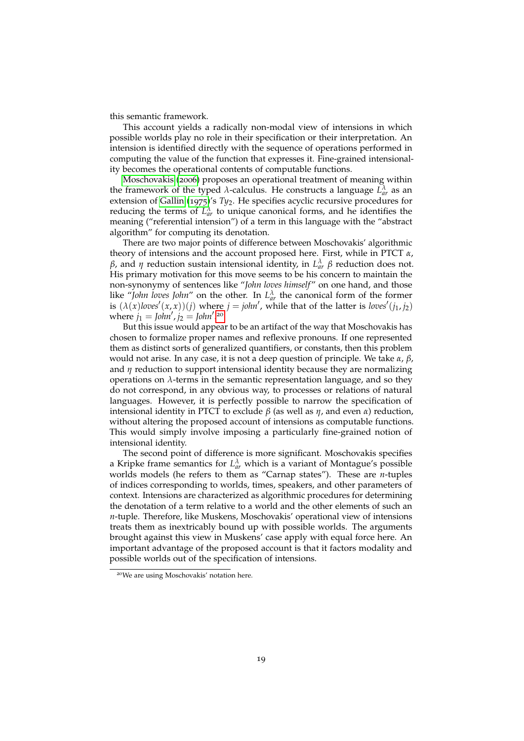this semantic framework.

This account yields a radically non-modal view of intensions in which possible worlds play no role in their specification or their interpretation. An intension is identified directly with the sequence of operations performed in computing the value of the function that expresses it. Fine-grained intensionality becomes the operational contents of computable functions.

[Moschovakis](#page-20-15) ([2006](#page-20-15)) proposes an operational treatment of meaning within the framework of the typed *λ*-calculus. He constructs a language  $L_{ar}^{\lambda}$  as an extension of [Gallin](#page-20-16) ([1975](#page-20-16))'s *Ty*2. He specifies acyclic recursive procedures for reducing the terms of  $L_{ar}^{\lambda}$  to unique canonical forms, and he identifies the meaning ("referential intension") of a term in this language with the "abstract algorithm" for computing its denotation.

There are two major points of difference between Moschovakis' algorithmic theory of intensions and the account proposed here. First, while in PTCT *α*, *β*, and *η* reduction sustain intensional identity, in  $L^{\lambda}_{ar}$  *β* reduction does not. His primary motivation for this move seems to be his concern to maintain the non-synonymy of sentences like "John loves himself" on one hand, and those like "*John loves John*" on the other. In  $L_{ar}^{\lambda}$  the canonical form of the former is  $(\lambda(x)$ *loves*<sup> $\prime$ </sup> $(x, x)$  $)(j)$  where  $j = \text{j}$ *ohn*<sup> $\prime$ </sup>, while that of the latter is *loves*<sup> $\prime$ </sup> $(j_1, j_2)$ where  $j_1 = \frac{1}{2}$  *john'*,  $j_2 = \frac{1}{2}$ *john'*.<sup>[20](#page-18-0)</sup>

But this issue would appear to be an artifact of the way that Moschovakis has chosen to formalize proper names and reflexive pronouns. If one represented them as distinct sorts of generalized quantifiers, or constants, then this problem would not arise. In any case, it is not a deep question of principle. We take *α*, *β*, and *η* reduction to support intensional identity because they are normalizing operations on *λ*-terms in the semantic representation language, and so they do not correspond, in any obvious way, to processes or relations of natural languages. However, it is perfectly possible to narrow the specification of intensional identity in PTCT to exclude *β* (as well as *η*, and even *α*) reduction, without altering the proposed account of intensions as computable functions. This would simply involve imposing a particularly fine-grained notion of intensional identity.

The second point of difference is more significant. Moschovakis specifies a Kripke frame semantics for  $L_{ar}^{\lambda}$  which is a variant of Montague's possible worlds models (he refers to them as "Carnap states"). These are *n*-tuples of indices corresponding to worlds, times, speakers, and other parameters of context. Intensions are characterized as algorithmic procedures for determining the denotation of a term relative to a world and the other elements of such an *n*-tuple. Therefore, like Muskens, Moschovakis' operational view of intensions treats them as inextricably bound up with possible worlds. The arguments brought against this view in Muskens' case apply with equal force here. An important advantage of the proposed account is that it factors modality and possible worlds out of the specification of intensions.

<span id="page-18-0"></span><sup>20</sup>We are using Moschovakis' notation here.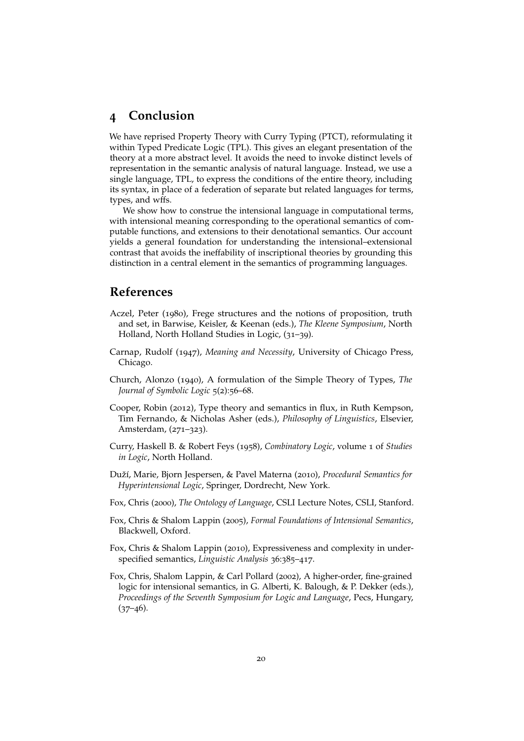### **4 Conclusion**

We have reprised Property Theory with Curry Typing (PTCT), reformulating it within Typed Predicate Logic (TPL). This gives an elegant presentation of the theory at a more abstract level. It avoids the need to invoke distinct levels of representation in the semantic analysis of natural language. Instead, we use a single language, TPL, to express the conditions of the entire theory, including its syntax, in place of a federation of separate but related languages for terms, types, and wffs.

We show how to construe the intensional language in computational terms, with intensional meaning corresponding to the operational semantics of computable functions, and extensions to their denotational semantics. Our account yields a general foundation for understanding the intensional–extensional contrast that avoids the ineffability of inscriptional theories by grounding this distinction in a central element in the semantics of programming languages.

### **References**

- <span id="page-19-3"></span>Aczel, Peter (1980), Frege structures and the notions of proposition, truth and set, in Barwise, Keisler, & Keenan (eds.), *The Kleene Symposium*, North Holland, North Holland Studies in Logic, (31–39).
- <span id="page-19-0"></span>Carnap, Rudolf (1947), *Meaning and Necessity*, University of Chicago Press, Chicago.
- <span id="page-19-5"></span>Church, Alonzo (1940), A formulation of the Simple Theory of Types, *The Journal of Symbolic Logic* 5(2):56–68.
- <span id="page-19-8"></span>Cooper, Robin (2012), Type theory and semantics in flux, in Ruth Kempson, Tim Fernando, & Nicholas Asher (eds.), *Philosophy of Linguistics*, Elsevier, Amsterdam, (271–323).
- <span id="page-19-4"></span>Curry, Haskell B. & Robert Feys (1958), *Combinatory Logic*, volume 1 of *Studies in Logic*, North Holland.
- <span id="page-19-9"></span>Duží, Marie, Bjorn Jespersen, & Pavel Materna (2010), *Procedural Semantics for Hyperintensional Logic*, Springer, Dordrecht, New York.
- <span id="page-19-6"></span>Fox, Chris (2000), *The Ontology of Language*, CSLI Lecture Notes, CSLI, Stanford.
- <span id="page-19-1"></span>Fox, Chris & Shalom Lappin (2005), *Formal Foundations of Intensional Semantics*, Blackwell, Oxford.
- <span id="page-19-2"></span>Fox, Chris & Shalom Lappin (2010), Expressiveness and complexity in underspecified semantics, *Linguistic Analysis* 36:385–417.
- <span id="page-19-7"></span>Fox, Chris, Shalom Lappin, & Carl Pollard (2002), A higher-order, fine-grained logic for intensional semantics, in G. Alberti, K. Balough, & P. Dekker (eds.), *Proceedings of the Seventh Symposium for Logic and Language*, Pecs, Hungary,  $(37-46)$ .